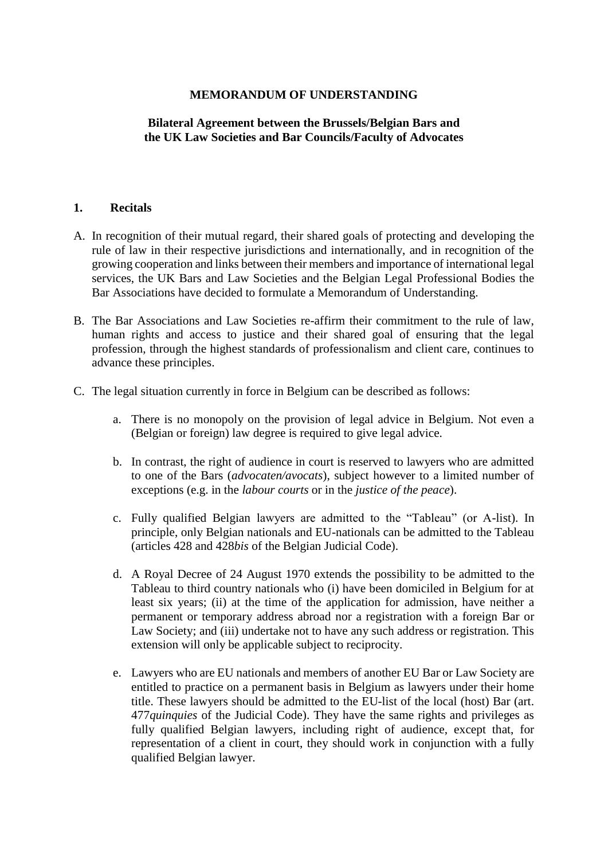#### **MEMORANDUM OF UNDERSTANDING**

# **Bilateral Agreement between the Brussels/Belgian Bars and the UK Law Societies and Bar Councils/Faculty of Advocates**

#### **1. Recitals**

- A. In recognition of their mutual regard, their shared goals of protecting and developing the rule of law in their respective jurisdictions and internationally, and in recognition of the growing cooperation and links between their members and importance of international legal services, the UK Bars and Law Societies and the Belgian Legal Professional Bodies the Bar Associations have decided to formulate a Memorandum of Understanding.
- B. The Bar Associations and Law Societies re-affirm their commitment to the rule of law, human rights and access to justice and their shared goal of ensuring that the legal profession, through the highest standards of professionalism and client care, continues to advance these principles.
- C. The legal situation currently in force in Belgium can be described as follows:
	- a. There is no monopoly on the provision of legal advice in Belgium. Not even a (Belgian or foreign) law degree is required to give legal advice.
	- b. In contrast, the right of audience in court is reserved to lawyers who are admitted to one of the Bars (*advocaten/avocats*), subject however to a limited number of exceptions (e.g. in the *labour courts* or in the *justice of the peace*).
	- c. Fully qualified Belgian lawyers are admitted to the "Tableau" (or A-list). In principle, only Belgian nationals and EU-nationals can be admitted to the Tableau (articles 428 and 428*bis* of the Belgian Judicial Code).
	- d. A Royal Decree of 24 August 1970 extends the possibility to be admitted to the Tableau to third country nationals who (i) have been domiciled in Belgium for at least six years; (ii) at the time of the application for admission, have neither a permanent or temporary address abroad nor a registration with a foreign Bar or Law Society; and (iii) undertake not to have any such address or registration. This extension will only be applicable subject to reciprocity.
	- e. Lawyers who are EU nationals and members of another EU Bar or Law Society are entitled to practice on a permanent basis in Belgium as lawyers under their home title. These lawyers should be admitted to the EU-list of the local (host) Bar (art. 477*quinquies* of the Judicial Code). They have the same rights and privileges as fully qualified Belgian lawyers, including right of audience, except that, for representation of a client in court, they should work in conjunction with a fully qualified Belgian lawyer.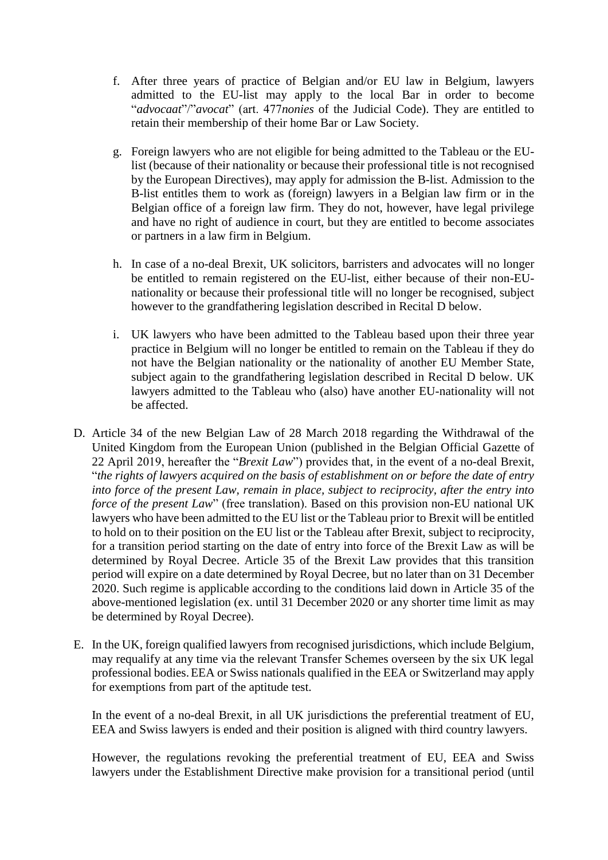- f. After three years of practice of Belgian and/or EU law in Belgium, lawyers admitted to the EU-list may apply to the local Bar in order to become "*advocaat*"/"*avocat*" (art. 477*nonies* of the Judicial Code). They are entitled to retain their membership of their home Bar or Law Society.
- g. Foreign lawyers who are not eligible for being admitted to the Tableau or the EUlist (because of their nationality or because their professional title is not recognised by the European Directives), may apply for admission the B-list. Admission to the B-list entitles them to work as (foreign) lawyers in a Belgian law firm or in the Belgian office of a foreign law firm. They do not, however, have legal privilege and have no right of audience in court, but they are entitled to become associates or partners in a law firm in Belgium.
- h. In case of a no-deal Brexit, UK solicitors, barristers and advocates will no longer be entitled to remain registered on the EU-list, either because of their non-EUnationality or because their professional title will no longer be recognised, subject however to the grandfathering legislation described in Recital [D](#page-1-0) below.
- i. UK lawyers who have been admitted to the Tableau based upon their three year practice in Belgium will no longer be entitled to remain on the Tableau if they do not have the Belgian nationality or the nationality of another EU Member State, subject again to the grandfathering legislation described in Recital [D](#page-1-0) below. UK lawyers admitted to the Tableau who (also) have another EU-nationality will not be affected.
- <span id="page-1-0"></span>D. Article 34 of the new Belgian Law of 28 March 2018 regarding the Withdrawal of the United Kingdom from the European Union (published in the Belgian Official Gazette of 22 April 2019, hereafter the "*Brexit Law*") provides that, in the event of a no-deal Brexit, "*the rights of lawyers acquired on the basis of establishment on or before the date of entry into force of the present Law, remain in place, subject to reciprocity, after the entry into force of the present Law*" (free translation). Based on this provision non-EU national UK lawyers who have been admitted to the EU list or the Tableau prior to Brexit will be entitled to hold on to their position on the EU list or the Tableau after Brexit, subject to reciprocity, for a transition period starting on the date of entry into force of the Brexit Law as will be determined by Royal Decree. Article 35 of the Brexit Law provides that this transition period will expire on a date determined by Royal Decree, but no later than on 31 December 2020. Such regime is applicable according to the conditions laid down in Article 35 of the above-mentioned legislation (ex. until 31 December 2020 or any shorter time limit as may be determined by Royal Decree).
- E. In the UK, foreign qualified lawyers from recognised jurisdictions, which include Belgium, may requalify at any time via the relevant Transfer Schemes overseen by the six UK legal professional bodies.EEA or Swiss nationals qualified in the EEA or Switzerland may apply for exemptions from part of the aptitude test.

In the event of a no-deal Brexit, in all UK jurisdictions the preferential treatment of EU, EEA and Swiss lawyers is ended and their position is aligned with third country lawyers.

However, the regulations revoking the preferential treatment of EU, EEA and Swiss lawyers under the Establishment Directive make provision for a transitional period (until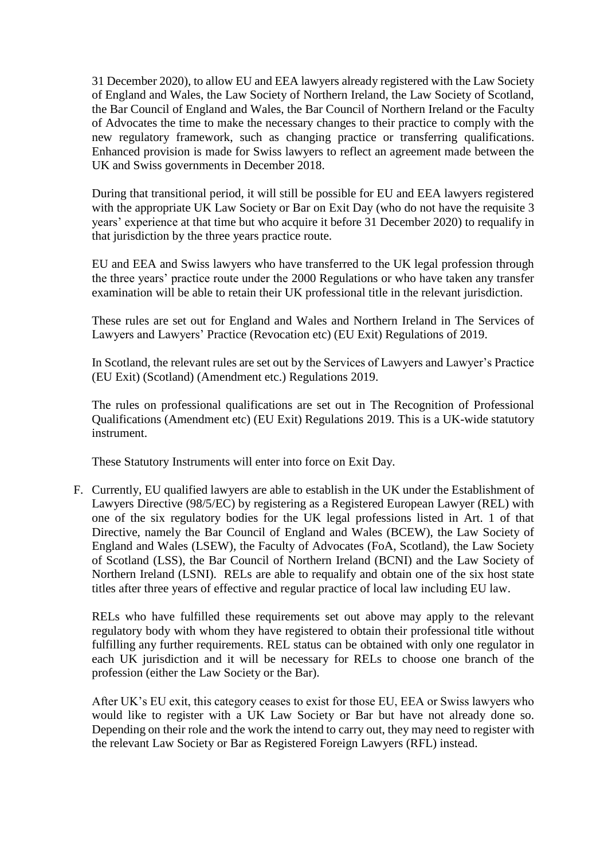31 December 2020), to allow EU and EEA lawyers already registered with the Law Society of England and Wales, the Law Society of Northern Ireland, the Law Society of Scotland, the Bar Council of England and Wales, the Bar Council of Northern Ireland or the Faculty of Advocates the time to make the necessary changes to their practice to comply with the new regulatory framework, such as changing practice or transferring qualifications. Enhanced provision is made for Swiss lawyers to reflect an agreement made between the UK and Swiss governments in December 2018.

During that transitional period, it will still be possible for EU and EEA lawyers registered with the appropriate UK Law Society or Bar on Exit Day (who do not have the requisite 3 years' experience at that time but who acquire it before 31 December 2020) to requalify in that jurisdiction by the three years practice route.

EU and EEA and Swiss lawyers who have transferred to the UK legal profession through the three years' practice route under the [2000 Regulations](http://www.legislation.gov.uk/ssi/2000/121/contents/made) or who have taken any transfer examination will be able to retain their UK professional title in the relevant jurisdiction.

These rules are set out for England and Wales and Northern Ireland in [The Services of](http://www.legislation.gov.uk/uksi/2019/375/made)  [Lawyers and Lawyers' Practice \(Revocation etc\) \(EU Exit\) Regulations of 2019.](http://www.legislation.gov.uk/uksi/2019/375/made)

In Scotland, the relevant rules are set out by the [Services of Lawyers and Lawyer's Practice](http://www.legislation.gov.uk/ssi/2019/127/policy-note/contents)  [\(EU Exit\) \(Scotland\) \(Amendment etc.\) Regulations 2019.](http://www.legislation.gov.uk/ssi/2019/127/policy-note/contents)

The rules on professional qualifications are set out in [The Recognition of Professional](http://www.legislation.gov.uk/uksi/2019/312/contents/made)  [Qualifications \(Amendment etc\) \(EU Exit\) Regulations 2019.](http://www.legislation.gov.uk/uksi/2019/312/contents/made) This is a UK-wide statutory instrument.

These Statutory Instruments will enter into force on Exit Day.

F. Currently, EU qualified lawyers are able to establish in the UK under the Establishment of Lawyers Directive (98/5/EC) by registering as a Registered European Lawyer (REL) with one of the six regulatory bodies for the UK legal professions listed in Art. 1 of that Directive, namely the Bar Council of England and Wales (BCEW), the Law Society of England and Wales (LSEW), the Faculty of Advocates (FoA, Scotland), the Law Society of Scotland (LSS), the Bar Council of Northern Ireland (BCNI) and the Law Society of Northern Ireland (LSNI). RELs are able to requalify and obtain one of the six host state titles after three years of effective and regular practice of local law including EU law.

RELs who have fulfilled these requirements set out above may apply to the relevant regulatory body with whom they have registered to obtain their professional title without fulfilling any further requirements. REL status can be obtained with only one regulator in each UK jurisdiction and it will be necessary for RELs to choose one branch of the profession (either the Law Society or the Bar).

After UK's EU exit, this category ceases to exist for those EU, EEA or Swiss lawyers who would like to register with a UK Law Society or Bar but have not already done so. Depending on their role and the work the intend to carry out, they may need to register with the relevant Law Society or Bar as Registered Foreign Lawyers (RFL) instead.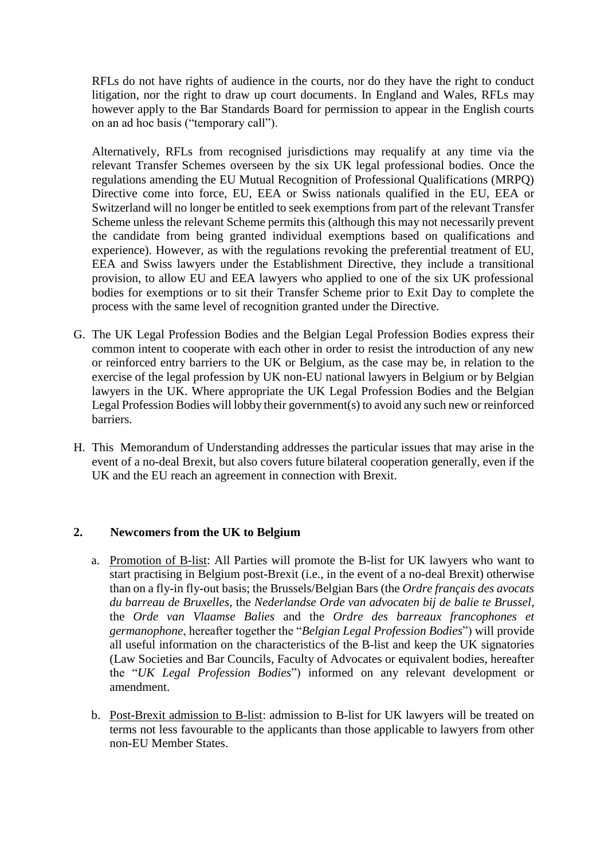RFLs do not have rights of audience in the courts, nor do they have the right to conduct litigation, nor the right to draw up court documents. In England and Wales, RFLs may however apply to the Bar Standards Board for permission to appear in the English courts on an ad hoc basis ("temporary call").

Alternatively, RFLs from recognised jurisdictions may requalify at any time via the relevant Transfer Schemes overseen by the six UK legal professional bodies. Once the regulations amending the EU Mutual Recognition of Professional Qualifications (MRPQ) Directive come into force, EU, EEA or Swiss nationals qualified in the EU, EEA or Switzerland will no longer be entitled to seek exemptions from part of the relevant Transfer Scheme unless the relevant Scheme permits this (although this may not necessarily prevent the candidate from being granted individual exemptions based on qualifications and experience). However, as with the regulations revoking the preferential treatment of EU, EEA and Swiss lawyers under the Establishment Directive, they include a transitional provision, to allow EU and EEA lawyers who applied to one of the six UK professional bodies for exemptions or to sit their Transfer Scheme prior to Exit Day to complete the process with the same level of recognition granted under the Directive.

- G. The UK Legal Profession Bodies and the Belgian Legal Profession Bodies express their common intent to cooperate with each other in order to resist the introduction of any new or reinforced entry barriers to the UK or Belgium, as the case may be, in relation to the exercise of the legal profession by UK non-EU national lawyers in Belgium or by Belgian lawyers in the UK. Where appropriate the UK Legal Profession Bodies and the Belgian Legal Profession Bodies will lobby their government(s) to avoid any such new or reinforced barriers.
- H. This Memorandum of Understanding addresses the particular issues that may arise in the event of a no-deal Brexit, but also covers future bilateral cooperation generally, even if the UK and the EU reach an agreement in connection with Brexit.

### **2. Newcomers from the UK to Belgium**

- a. Promotion of B-list: All Parties will promote the B-list for UK lawyers who want to start practising in Belgium post-Brexit (i.e., in the event of a no-deal Brexit) otherwise than on a fly-in fly-out basis; the Brussels/Belgian Bars (the *Ordre français des avocats du barreau de Bruxelles*, the *Nederlandse Orde van advocaten bij de balie te Brussel*, the *Orde van Vlaamse Balies* and the *Ordre des barreaux francophones et germanophone*, hereafter together the "*Belgian Legal Profession Bodies*") will provide all useful information on the characteristics of the B-list and keep the UK signatories (Law Societies and Bar Councils, Faculty of Advocates or equivalent bodies, hereafter the "*UK Legal Profession Bodies*") informed on any relevant development or amendment.
- b. Post-Brexit admission to B-list: admission to B-list for UK lawyers will be treated on terms not less favourable to the applicants than those applicable to lawyers from other non-EU Member States.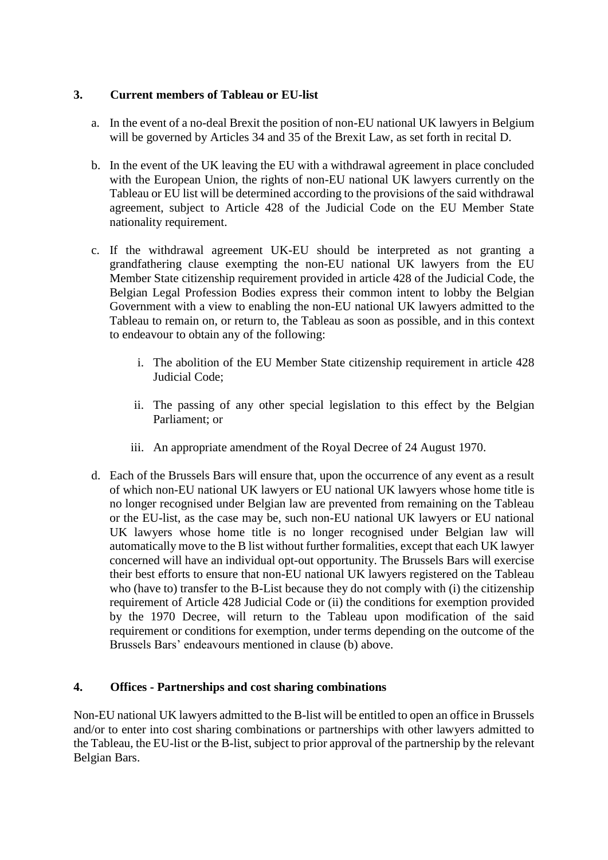# **3. Current members of Tableau or EU-list**

- a. In the event of a no-deal Brexit the position of non-EU national UK lawyers in Belgium will be governed by Articles 34 and 35 of the Brexit Law, as set forth in recital [D.](#page-1-0)
- <span id="page-4-0"></span>b. In the event of the UK leaving the EU with a withdrawal agreement in place concluded with the European Union, the rights of non-EU national UK lawyers currently on the Tableau or EU list will be determined according to the provisions of the said withdrawal agreement, subject to Article 428 of the Judicial Code on the EU Member State nationality requirement.
- c. If the withdrawal agreement UK-EU should be interpreted as not granting a grandfathering clause exempting the non-EU national UK lawyers from the EU Member State citizenship requirement provided in article 428 of the Judicial Code, the Belgian Legal Profession Bodies express their common intent to lobby the Belgian Government with a view to enabling the non-EU national UK lawyers admitted to the Tableau to remain on, or return to, the Tableau as soon as possible, and in this context to endeavour to obtain any of the following:
	- i. The abolition of the EU Member State citizenship requirement in article 428 Judicial Code;
	- ii. The passing of any other special legislation to this effect by the Belgian Parliament; or
	- iii. An appropriate amendment of the Royal Decree of 24 August 1970.
- d. Each of the Brussels Bars will ensure that, upon the occurrence of any event as a result of which non-EU national UK lawyers or EU national UK lawyers whose home title is no longer recognised under Belgian law are prevented from remaining on the Tableau or the EU-list, as the case may be, such non-EU national UK lawyers or EU national UK lawyers whose home title is no longer recognised under Belgian law will automatically move to the B list without further formalities, except that each UK lawyer concerned will have an individual opt-out opportunity. The Brussels Bars will exercise their best efforts to ensure that non-EU national UK lawyers registered on the Tableau who (have to) transfer to the B-List because they do not comply with (i) the citizenship requirement of Article 428 Judicial Code or (ii) the conditions for exemption provided by the 1970 Decree, will return to the Tableau upon modification of the said requirement or conditions for exemption, under terms depending on the outcome of the Brussels Bars' endeavours mentioned in clause [\(b\)](#page-4-0) above.

# **4. Offices - Partnerships and cost sharing combinations**

Non-EU national UK lawyers admitted to the B-list will be entitled to open an office in Brussels and/or to enter into cost sharing combinations or partnerships with other lawyers admitted to the Tableau, the EU-list or the B-list, subject to prior approval of the partnership by the relevant Belgian Bars.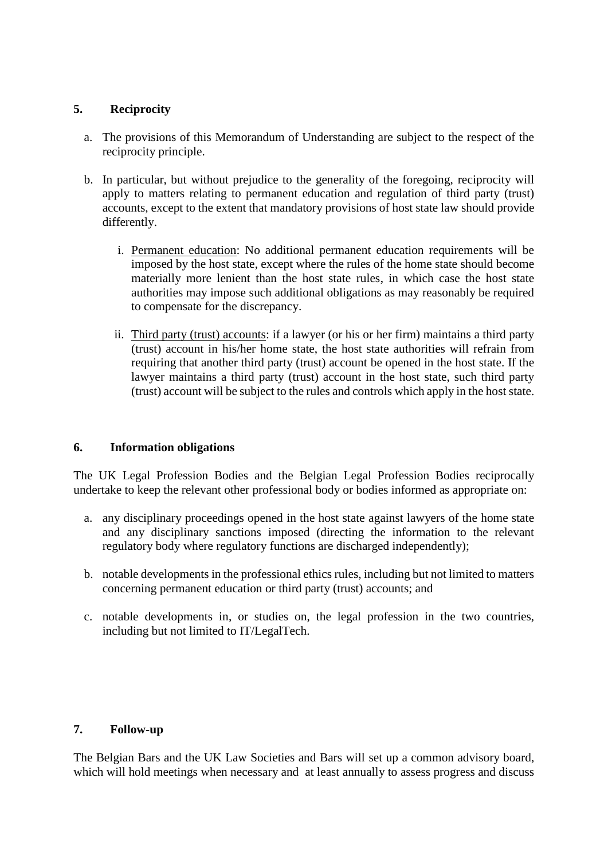### **5. Reciprocity**

- a. The provisions of this Memorandum of Understanding are subject to the respect of the reciprocity principle.
- b. In particular, but without prejudice to the generality of the foregoing, reciprocity will apply to matters relating to permanent education and regulation of third party (trust) accounts, except to the extent that mandatory provisions of host state law should provide differently.
	- i. Permanent education: No additional permanent education requirements will be imposed by the host state, except where the rules of the home state should become materially more lenient than the host state rules, in which case the host state authorities may impose such additional obligations as may reasonably be required to compensate for the discrepancy.
	- ii. Third party (trust) accounts: if a lawyer (or his or her firm) maintains a third party (trust) account in his/her home state, the host state authorities will refrain from requiring that another third party (trust) account be opened in the host state. If the lawyer maintains a third party (trust) account in the host state, such third party (trust) account will be subject to the rules and controls which apply in the host state.

### **6. Information obligations**

The UK Legal Profession Bodies and the Belgian Legal Profession Bodies reciprocally undertake to keep the relevant other professional body or bodies informed as appropriate on:

- a. any disciplinary proceedings opened in the host state against lawyers of the home state and any disciplinary sanctions imposed (directing the information to the relevant regulatory body where regulatory functions are discharged independently);
- b. notable developments in the professional ethics rules, including but not limited to matters concerning permanent education or third party (trust) accounts; and
- c. notable developments in, or studies on, the legal profession in the two countries, including but not limited to IT/LegalTech.

### **7. Follow-up**

The Belgian Bars and the UK Law Societies and Bars will set up a common advisory board, which will hold meetings when necessary and at least annually to assess progress and discuss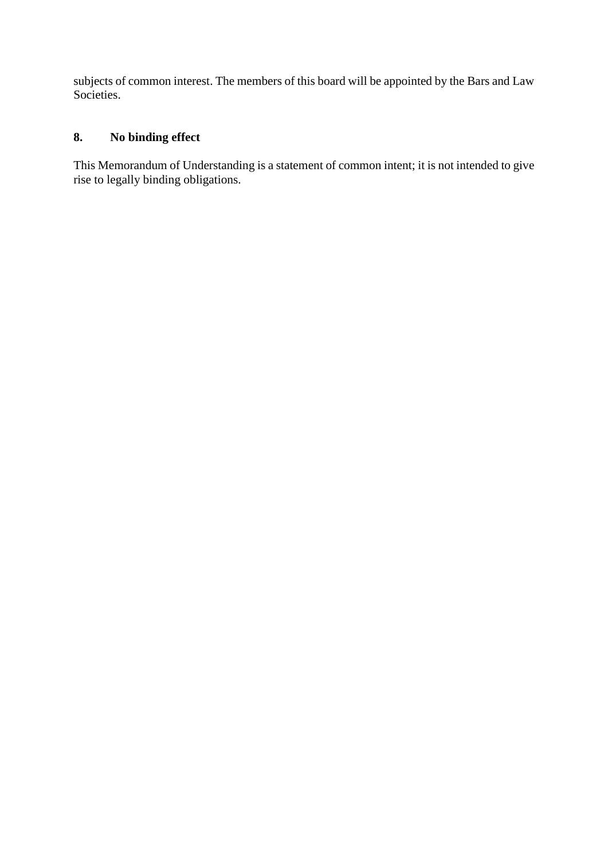subjects of common interest. The members of this board will be appointed by the Bars and Law Societies.

# **8. No binding effect**

This Memorandum of Understanding is a statement of common intent; it is not intended to give rise to legally binding obligations.